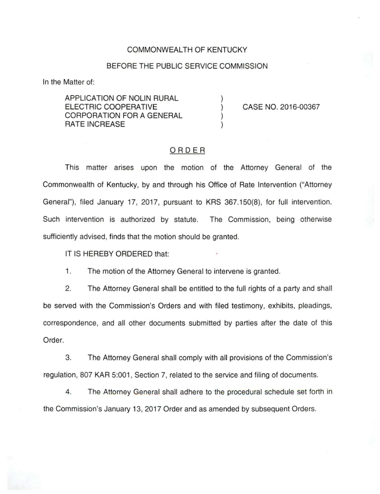## COMMONWEALTH OF KENTUCKY

## BEFORE THE PUBLIC SERVICE COMMISSION

) ) ) )

In the Matter of:

APPLICATION OF NOLIN RURAL ELECTRIC COOPERATIVE CORPORATION FOR A GENERAL RATE INCREASE

CASE NO. 2016-00367

## ORDER

This matter arises upon the motion of the Attorney General of the Commonwealth of Kentucky, by and through his Office of Rate Intervention ("Attorney General"), filed January 17, 2017, pursuant to KRS 367.150(8), for full intervention. Such intervention is authorized by statute. The Commission, being otherwise sufficiently advised, finds that the motion should be granted.

IT IS HEREBY ORDERED that:

1. The motion of the Attorney General to intervene is granted.

2. The Attorney General shall be entitled to the full rights of a party and shall be served with the Commission's Orders and with filed testimony, exhibits, pleadings, correspondence, and all other documents submitted by parties after the date of this Order.

3. The Attorney General shall comply with all provisions of the Commission's regulation, 807 KAR 5:001, Section 7, related to the service and filing of documents.

4. The Attorney General shall adhere to the procedural schedule set forth in the Commission's January 13, 2017 Order and as amended by subsequent Orders.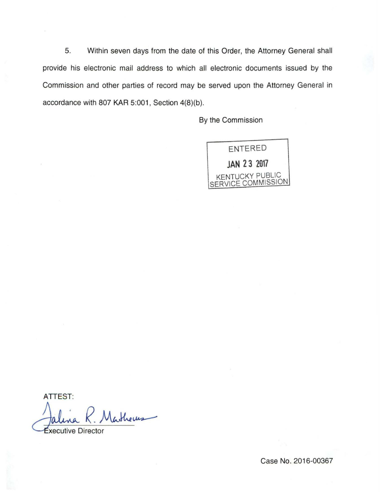5. Within seven days from the date of this Order, the Attorney General shall provide his electronic mail address to which all electronic documents issued by the Commission and other parties of record may be served upon the Attorney General in accordance with 807 KAR 5:001, Section 4(8)(b).

By the Commission



**ATTEST:** Jalina R. Matheus

Case No. 2016-00367